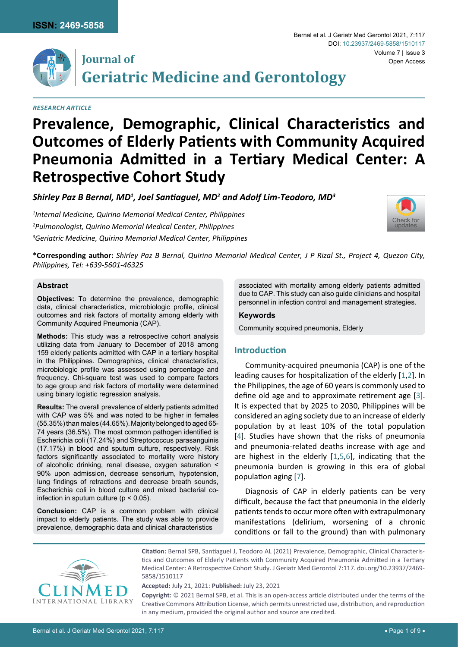



# **Journal of Geriatric Medicine and Gerontology**

*Research Article*

# **Prevalence, Demographic, Clinical Characteristics and Outcomes of Elderly Patients with Community Acquired Pneumonia Admitted in a Tertiary Medical Center: A Retrospective Cohort Study**

*Shirley Paz B Bernal, MD1 , Joel Santiaguel, MD<sup>2</sup> and Adolf Lim-Teodoro, MD3*

*1 Internal Medicine, Quirino Memorial Medical Center, Philippines 2 Pulmonologist, Quirino Memorial Medical Center, Philippines 3 Geriatric Medicine, Quirino Memorial Medical Center, Philippines*



**\*Corresponding author:** *Shirley Paz B Bernal, Quirino Memorial Medical Center, J P Rizal St., Project 4, Quezon City, Philippines, Tel: +639-5601-46325*

#### **Abstract**

**Objectives:** To determine the prevalence, demographic data, clinical characteristics, microbiologic profile, clinical outcomes and risk factors of mortality among elderly with Community Acquired Pneumonia (CAP).

**Methods:** This study was a retrospective cohort analysis utilizing data from January to December of 2018 among 159 elderly patients admitted with CAP in a tertiary hospital in the Philippines. Demographics, clinical characteristics, microbiologic profile was assessed using percentage and frequency. Chi-square test was used to compare factors to age group and risk factors of mortality were determined using binary logistic regression analysis.

**Results:** The overall prevalence of elderly patients admitted with CAP was 5% and was noted to be higher in females (55.35%) than males (44.65%). Majority belonged to aged 65- 74 years (36.5%). The most common pathogen identified is Escherichia coli (17.24%) and Streptococcus parasanguinis (17.17%) in blood and sputum culture, respectively. Risk factors significantly associated to mortality were history of alcoholic drinking, renal disease, oxygen saturation < 90% upon admission, decrease sensorium, hypotension, lung findings of retractions and decrease breath sounds, Escherichia coli in blood culture and mixed bacterial coinfection in sputum culture ( $p < 0.05$ ).

**Conclusion:** CAP is a common problem with clinical impact to elderly patients. The study was able to provide prevalence, demographic data and clinical characteristics

associated with mortality among elderly patients admitted due to CAP. This study can also guide clinicians and hospital personnel in infection control and management strategies.

## **Keywords**

Community acquired pneumonia, Elderly

# **Introduction**

Community-acquired pneumonia (CAP) is one of the leading causes for hospitalization of the elderly [[1](#page-8-0),[2](#page-8-1)]. In the Philippines, the age of 60 years is commonly used to define old age and to approximate retirement age [\[3\]](#page-8-2). It is expected that by 2025 to 2030, Philippines will be considered an aging society due to an increase of elderly population by at least 10% of the total population [\[4\]](#page-8-3). Studies have shown that the risks of pneumonia and pneumonia-related deaths increase with age and are highest in the elderly [\[1](#page-8-0)[,5](#page-8-4),[6](#page-8-5)], indicating that the pneumonia burden is growing in this era of global population aging [[7](#page-8-6)].

Diagnosis of CAP in elderly patients can be very difficult, because the fact that pneumonia in the elderly patients tends to occur more often with extrapulmonary manifestations (delirium, worsening of a chronic conditions or fall to the ground) than with pulmonary



**Citation:** Bernal SPB, Santiaguel J, Teodoro AL (2021) Prevalence, Demographic, Clinical Characteristics and Outcomes of Elderly Patients with Community Acquired Pneumonia Admitted in a Tertiary Medical Center: A Retrospective Cohort Study. J Geriatr Med Gerontol 7:117. [doi.org/10.23937/2469-](https://doi.org/10.23937/2469-5858/1510117) [5858/1510117](https://doi.org/10.23937/2469-5858/1510117)

**Accepted:** July 21, 2021: **Published:** July 23, 2021

**Copyright:** © 2021 Bernal SPB, et al. This is an open-access article distributed under the terms of the Creative Commons Attribution License, which permits unrestricted use, distribution, and reproduction in any medium, provided the original author and source are credited.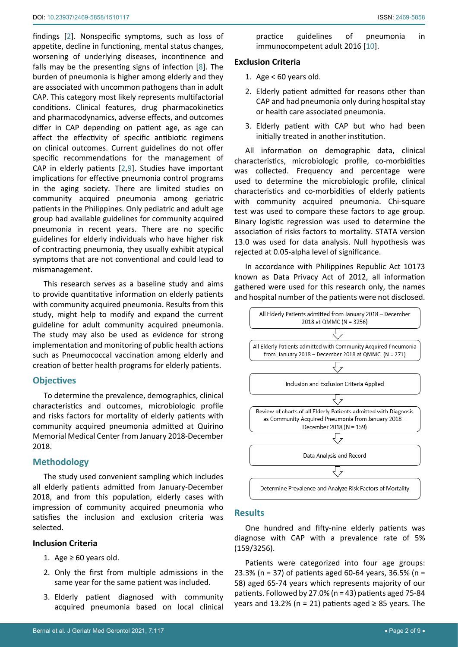findings [[2](#page-8-1)]. Nonspecific symptoms, such as loss of appetite, decline in functioning, mental status changes, worsening of underlying diseases, incontinence and falls may be the presenting signs of infection [[8](#page-8-8)]. The burden of pneumonia is higher among elderly and they are associated with uncommon pathogens than in adult CAP. This category most likely represents multifactorial conditions. Clinical features, drug pharmacokinetics and pharmacodynamics, adverse effects, and outcomes differ in CAP depending on patient age, as age can affect the effectivity of specific antibiotic regimens on clinical outcomes. Current guidelines do not offer specific recommendations for the management of CAP in elderly patients [\[2](#page-8-1),[9](#page-8-9)]. Studies have important implications for effective pneumonia control programs in the aging society. There are limited studies on community acquired pneumonia among geriatric patients in the Philippines. Only pediatric and adult age group had available guidelines for community acquired pneumonia in recent years. There are no specific guidelines for elderly individuals who have higher risk of contracting pneumonia, they usually exhibit atypical symptoms that are not conventional and could lead to mismanagement.

This research serves as a baseline study and aims to provide quantitative information on elderly patients with community acquired pneumonia. Results from this study, might help to modify and expand the current guideline for adult community acquired pneumonia. The study may also be used as evidence for strong implementation and monitoring of public health actions such as Pneumococcal vaccination among elderly and creation of better health programs for elderly patients.

# **Objectives**

To determine the prevalence, demographics, clinical characteristics and outcomes, microbiologic profile and risks factors for mortality of elderly patients with community acquired pneumonia admitted at Quirino Memorial Medical Center from January 2018-December 2018.

# **Methodology**

The study used convenient sampling which includes all elderly patients admitted from January-December 2018, and from this population, elderly cases with impression of community acquired pneumonia who satisfies the inclusion and exclusion criteria was selected.

#### **Inclusion Criteria**

- 1. Age  $\geq 60$  years old.
- 2. Only the first from multiple admissions in the same year for the same patient was included.
- 3. Elderly patient diagnosed with community acquired pneumonia based on local clinical

practice guidelines of pneumonia in immunocompetent adult 2016 [[10\]](#page-8-7).

#### **Exclusion Criteria**

- 1. Age < 60 years old.
- 2. Elderly patient admitted for reasons other than CAP and had pneumonia only during hospital stay or health care associated pneumonia.
- 3. Elderly patient with CAP but who had been initially treated in another institution.

All information on demographic data, clinical characteristics, microbiologic profile, co-morbidities was collected. Frequency and percentage were used to determine the microbiologic profile, clinical characteristics and co-morbidities of elderly patients with community acquired pneumonia. Chi-square test was used to compare these factors to age group. Binary logistic regression was used to determine the association of risks factors to mortality. STATA version 13.0 was used for data analysis. Null hypothesis was rejected at 0.05-alpha level of significance.

In accordance with Philippines Republic Act 10173 known as Data Privacy Act of 2012, all information gathered were used for this research only, the names and hospital number of the patients were not disclosed.



# **Results**

One hundred and fifty-nine elderly patients was diagnose with CAP with a prevalence rate of 5% (159/3256).

Patients were categorized into four age groups: 23.3% (n = 37) of patients aged 60-64 years, 36.5% (n = 58) aged 65-74 years which represents majority of our patients. Followed by 27.0% (n = 43) patients aged 75-84 years and 13.2% (n = 21) patients aged  $\geq$  85 years. The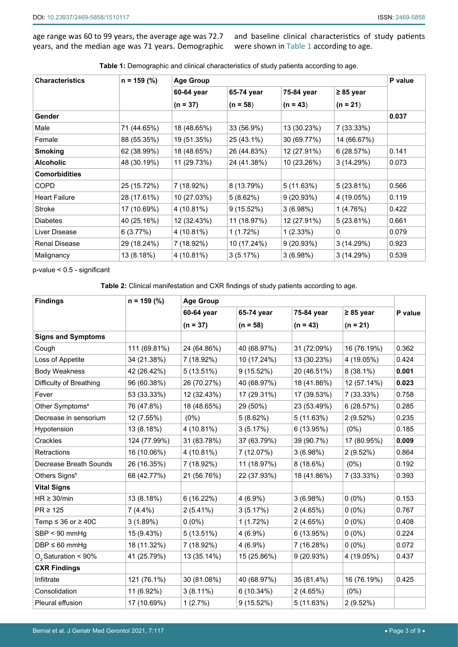age range was 60 to 99 years, the average age was 72.7 years, and the median age was 71 years. Demographic and baseline clinical characteristics of study patients were shown in [Table 1](#page-2-0) according to age.

<span id="page-2-0"></span>

| Table 1: Demographic and clinical characteristics of study patients according to age. |  |  |
|---------------------------------------------------------------------------------------|--|--|
|                                                                                       |  |  |

| <b>Characteristics</b> | $n = 159$ (%) | <b>Age Group</b> | P value     |             |             |       |
|------------------------|---------------|------------------|-------------|-------------|-------------|-------|
|                        |               | 60-64 year       | 65-74 year  | 75-84 year  | ≥ 85 year   |       |
|                        |               | $(n = 37)$       | $(n = 58)$  | $(n = 43)$  | $(n = 21)$  |       |
| Gender                 |               |                  |             |             |             | 0.037 |
| Male                   | 71 (44.65%)   | 18 (48.65%)      | 33 (56.9%)  | 13 (30.23%) | 7 (33.33%)  |       |
| Female                 | 88 (55.35%)   | 19 (51.35%)      | 25 (43.1%)  | 30 (69.77%) | 14 (66.67%) |       |
| <b>Smoking</b>         | 62 (38.99%)   | 18 (48.65%)      | 26 (44.83%) | 12 (27.91%) | 6(28.57%)   | 0.141 |
| <b>Alcoholic</b>       | 48 (30.19%)   | 11 (29.73%)      | 24 (41.38%) | 10 (23.26%) | 3(14.29%)   | 0.073 |
| <b>Comorbidities</b>   |               |                  |             |             |             |       |
| <b>COPD</b>            | 25 (15.72%)   | 7 (18.92%)       | 8 (13.79%)  | 5(11.63%)   | 5 (23.81%)  | 0.566 |
| <b>Heart Failure</b>   | 28 (17.61%)   | 10 (27.03%)      | 5(8.62%)    | 9(20.93%)   | 4 (19.05%)  | 0.119 |
| Stroke                 | 17 (10.69%)   | 4 (10.81%)       | 9(15.52%)   | 3(6.98%)    | 1(4.76%)    | 0.422 |
| <b>Diabetes</b>        | 40 (25.16%)   | 12 (32.43%)      | 11 (18.97%) | 12 (27.91%) | 5 (23.81%)  | 0.661 |
| Liver Disease          | 6(3.77%)      | 4 (10.81%)       | 1(1.72%)    | 1(2.33%)    | 0           | 0.079 |
| <b>Renal Disease</b>   | 29 (18.24%)   | 7 (18.92%)       | 10 (17.24%) | 9(20.93%)   | 3(14.29%)   | 0.923 |
| Malignancy             | 13 (8.18%)    | 4 (10.81%)       | 3(5.17%)    | 3(6.98%)    | 3 (14.29%)  | 0.539 |

p-value < 0.5 - significant

<span id="page-2-1"></span>**Table 2:** Clinical manifestation and CXR findings of study patients according to age.

| <b>Findings</b>              | $n = 159$ (%) | <b>Age Group</b> |             |             |                |         |
|------------------------------|---------------|------------------|-------------|-------------|----------------|---------|
|                              |               | 60-64 year       | 65-74 year  | 75-84 year  | $\geq 85$ year | P value |
|                              |               | $(n = 37)$       | $(n = 58)$  | $(n = 43)$  | $(n = 21)$     |         |
| <b>Signs and Symptoms</b>    |               |                  |             |             |                |         |
| Cough                        | 111 (69.81%)  | 24 (64.86%)      | 40 (68.97%) | 31 (72.09%) | 16 (76.19%)    | 0.362   |
| Loss of Appetite             | 34 (21.38%)   | 7 (18.92%)       | 10 (17.24%) | 13 (30.23%) | 4 (19.05%)     | 0.424   |
| <b>Body Weakness</b>         | 42 (26.42%)   | 5(13.51%)        | 9(15.52%)   | 20 (46.51%) | $8(38.1\%)$    | 0.001   |
| Difficulty of Breathing      | 96 (60.38%)   | 26 (70.27%)      | 40 (68.97%) | 18 (41.86%) | 12 (57.14%)    | 0.023   |
| Fever                        | 53 (33.33%)   | 12 (32.43%)      | 17 (29.31%) | 17 (39.53%) | 7 (33.33%)     | 0.758   |
| Other Symptoms <sup>a</sup>  | 76 (47.8%)    | 18 (48.65%)      | 29 (50%)    | 23 (53.49%) | 6(28.57%)      | 0.285   |
| Decrease in sensorium        | 12 (7.55%)    | $(0\%)$          | 5(8.62%)    | 5(11.63%)   | 2(9.52%)       | 0.235   |
| Hypotension                  | 13 (8.18%)    | 4 (10.81%)       | 3(5.17%)    | 6 (13.95%)  | (0%)           | 0.185   |
| Crackles                     | 124 (77.99%)  | 31 (83.78%)      | 37 (63.79%) | 39 (90.7%)  | 17 (80.95%)    | 0.009   |
| Retractions                  | 16 (10.06%)   | 4 (10.81%)       | 7 (12.07%)  | 3(6.98%)    | 2 (9.52%)      | 0.864   |
| Decrease Breath Sounds       | 26 (16.35%)   | 7 (18.92%)       | 11 (18.97%) | 8(18.6%)    | $(0\%)$        | 0.192   |
| Others Signsb                | 68 (42.77%)   | 21 (56.76%)      | 22 (37.93%) | 18 (41.86%) | 7 (33.33%)     | 0.393   |
| <b>Vital Signs</b>           |               |                  |             |             |                |         |
| $HR \geq 30/min$             | 13 (8.18%)    | 6 (16.22%)       | 4 (6.9%)    | 3(6.98%)    | $0(0\%)$       | 0.153   |
| $PR \ge 125$                 | $7(4.4\%)$    | $2(5.41\%)$      | 3(5.17%)    | 2(4.65%)    | $0(0\%)$       | 0.767   |
| Temp $\leq$ 36 or $\geq$ 40C | 3(1.89%)      | $0(0\%)$         | 1(1.72%)    | 2(4.65%)    | $0(0\%)$       | 0.408   |
| $SBP < 90$ mmHg              | 15 (9.43%)    | 5(13.51%)        | $4(6.9\%)$  | 6 (13.95%)  | $0(0\%)$       | 0.224   |
| $DBP \leq 60$ mmHg           | 18 (11.32%)   | 7 (18.92%)       | 4 (6.9%)    | 7 (16.28%)  | $0(0\%)$       | 0.072   |
| $O2$ Saturation < 90%        | 41 (25.79%)   | 13 (35.14%)      | 15 (25.86%) | 9(20.93%)   | 4 (19.05%)     | 0.437   |
| <b>CXR Findings</b>          |               |                  |             |             |                |         |
| Infiltrate                   | 121 (76.1%)   | 30 (81.08%)      | 40 (68.97%) | 35 (81.4%)  | 16 (76.19%)    | 0.425   |
| Consolidation                | 11 (6.92%)    | $3(8.11\%)$      | 6 (10.34%)  | 2(4.65%)    | $(0\%)$        |         |
| Pleural effusion             | 17 (10.69%)   | 1(2.7%)          | 9 (15.52%)  | 5(11.63%)   | 2(9.52%)       |         |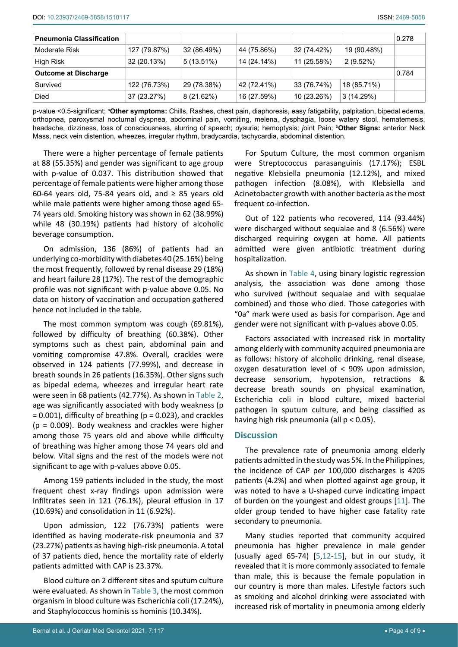| <b>Pneumonia Classification</b> |              |              |             |             |             | 0.278 |
|---------------------------------|--------------|--------------|-------------|-------------|-------------|-------|
| Moderate Risk                   | 127 (79.87%) | 32 (86.49%)  | 44 (75.86%) | 32 (74.42%) | 19 (90.48%) |       |
| High Risk                       | 32 (20.13%)  | $5(13.51\%)$ | 14 (24.14%) | 11 (25.58%) | $2(9.52\%)$ |       |
| <b>Outcome at Discharge</b>     |              |              |             |             |             | 0.784 |
| Survived                        | 122 (76.73%) | 29 (78.38%)  | 42 (72.41%) | 33 (76.74%) | 18 (85.71%) |       |
| <b>Died</b>                     | 37 (23.27%)  | 8(21.62%)    | 16 (27.59%) | 10 (23.26%) | 3(14.29%)   |       |

p-value <0.5-significant; ª**Other symptoms:** Chills, Rashes, chest pain, diaphoresis, easy fatigability, palpitation, bipedal edema, orthopnea, paroxysmal nocturnal dyspnea*, a*bdominal pain, vomiting, melena, dysphagia, loose watery stool, hematemesis, headache, dizziness, loss of consciousness, slurring of speech; *d*ysuria; hemoptysis; *j*oint Pain; <sup>b</sup> **Other Signs:** anterior Neck Mass, neck vein distention, wheezes, irregular rhythm, bradycardia, tachycardia, abdominal distention.

There were a higher percentage of female patients at 88 (55.35%) and gender was significant to age group with p-value of 0.037. This distribution showed that percentage of female patients were higher among those 60-64 years old, 75-84 years old, and  $\geq$  85 years old while male patients were higher among those aged 65- 74 years old. Smoking history was shown in 62 (38.99%) while 48 (30.19%) patients had history of alcoholic beverage consumption.

On admission, 136 (86%) of patients had an underlying co-morbidity with diabetes 40 (25.16%) being the most frequently, followed by renal disease 29 (18%) and heart failure 28 (17%). The rest of the demographic profile was not significant with p-value above 0.05. No data on history of vaccination and occupation gathered hence not included in the table.

The most common symptom was cough (69.81%), followed by difficulty of breathing (60.38%). Other symptoms such as chest pain, abdominal pain and vomiting compromise 47.8%. Overall, crackles were observed in 124 patients (77.99%), and decrease in breath sounds in 26 patients (16.35%). Other signs such as bipedal edema, wheezes and irregular heart rate were seen in 68 patients (42.77%). As shown in [Table 2](#page-2-1), age was significantly associated with body weakness (p  $= 0.001$ ), difficulty of breathing ( $p = 0.023$ ), and crackles  $(p = 0.009)$ . Body weakness and crackles were higher among those 75 years old and above while difficulty of breathing was higher among those 74 years old and below. Vital signs and the rest of the models were not significant to age with p-values above 0.05.

Among 159 patients included in the study, the most frequent chest x-ray findings upon admission were Infiltrates seen in 121 (76.1%), pleural effusion in 17 (10.69%) and consolidation in 11 (6.92%).

Upon admission, 122 (76.73%) patients were identified as having moderate-risk pneumonia and 37 (23.27%) patients as having high-risk pneumonia. A total of 37 patients died, hence the mortality rate of elderly patients admitted with CAP is 23.37%.

Blood culture on 2 different sites and sputum culture were evaluated. As shown in [Table 3](#page-4-1), the most common organism in blood culture was Escherichia coli (17.24%), and Staphylococcus hominis ss hominis (10.34%).

For Sputum Culture, the most common organism were Streptococcus parasanguinis (17.17%); ESBL negative Klebsiella pneumonia (12.12%), and mixed pathogen infection (8.08%), with Klebsiella and Acinetobacter growth with another bacteria as the most frequent co-infection.

Out of 122 patients who recovered, 114 (93.44%) were discharged without sequalae and 8 (6.56%) were discharged requiring oxygen at home. All patients admitted were given antibiotic treatment during hospitalization.

As shown in [Table 4](#page-4-0), using binary logistic regression analysis, the association was done among those who survived (without sequalae and with sequalae combined) and those who died. Those categories with "0a" mark were used as basis for comparison. Age and gender were not significant with p-values above 0.05.

Factors associated with increased risk in mortality among elderly with community acquired pneumonia are as follows: history of alcoholic drinking, renal disease, oxygen desaturation level of < 90% upon admission, decrease sensorium, hypotension, retractions & decrease breath sounds on physical examination, Escherichia coli in blood culture, mixed bacterial pathogen in sputum culture, and being classified as having high risk pneumonia (all p < 0.05).

# **Discussion**

The prevalence rate of pneumonia among elderly patients admitted in the study was 5%. In the Philippines, the incidence of CAP per 100,000 discharges is 4205 patients (4.2%) and when plotted against age group, it was noted to have a U-shaped curve indicating impact of burden on the youngest and oldest groups [[11](#page-8-10)]. The older group tended to have higher case fatality rate secondary to pneumonia.

Many studies reported that community acquired pneumonia has higher prevalence in male gender (usually aged 65-74) [[5](#page-8-4),[12](#page-8-11)-[15\]](#page-8-12), but in our study, it revealed that it is more commonly associated to female than male, this is because the female population in our country is more than males. Lifestyle factors such as smoking and alcohol drinking were associated with increased risk of mortality in pneumonia among elderly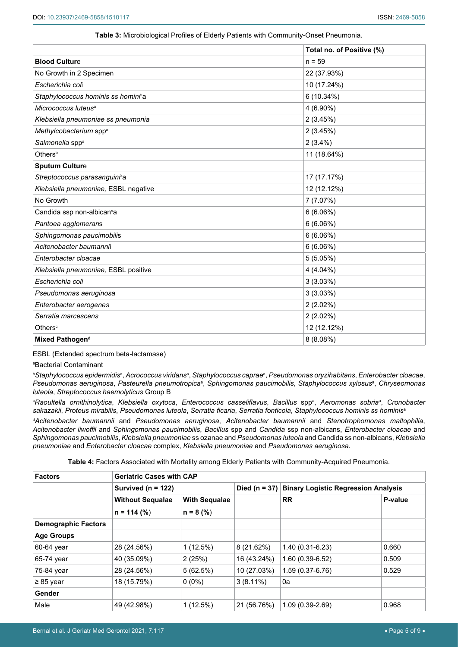#### <span id="page-4-1"></span>**Table 3:** Microbiological Profiles of Elderly Patients with Community-Onset Pneumonia.

|                                        | Total no. of Positive (%) |
|----------------------------------------|---------------------------|
| <b>Blood Culture</b>                   | $n = 59$                  |
| No Growth in 2 Specimen                | 22 (37.93%)               |
| Escherichia coli                       | 10 (17.24%)               |
| Staphylococcus hominis ss homini®a     | 6 (10.34%)                |
| Micrococcus luteus <sup>a</sup>        | 4 (6.90%)                 |
| Klebsiella pneumoniae ss pneumonia     | 2(3.45%)                  |
| Methylcobacterium spp <sup>a</sup>     | 2(3.45%)                  |
| Salmonella spp <sup>a</sup>            | $2(3.4\%)$                |
| Others <sup>b</sup>                    | 11 (18.64%)               |
| <b>Sputum Culture</b>                  |                           |
| Streptococcus parasanguinisa           | 17 (17.17%)               |
| Klebsiella pneumoniae, ESBL negative   | 12 (12.12%)               |
| No Growth                              | 7 (7.07%)                 |
| Candida ssp non-albican <sup>s</sup> a | 6(6.06%)                  |
| Pantoea agglomerans                    | 6(6.06%)                  |
| Sphingomonas paucimobilis              | 6(6.06%)                  |
| Acitenobacter baumannii                | 6(6.06%)                  |
| Enterobacter cloacae                   | 5(5.05%)                  |
| Klebsiella pneumoniae, ESBL positive   | $4(4.04\%)$               |
| Escherichia coli                       | 3(3.03%)                  |
| Pseudomonas aeruginosa                 | 3(3.03%)                  |
| Enterobacter aerogenes                 | 2(2.02%)                  |
| Serratia marcescens                    | 2(2.02%)                  |
| Others <sup>c</sup>                    | 12 (12.12%)               |
| Mixed Pathogen <sup>d</sup>            | 8(8.08%)                  |

ESBL (Extended spectrum beta-lactamase)

a Bacterial Contaminant

 $^{\rm b}$ Staphylococcus epidermidisª, Acrococcus viridansª, Staphylococcus capraeª, Pseudomonas oryzihabitans, Enterobacter cloacae, *Pseudomonas aeruginosa*, *Pasteurella pneumotropica*<sup>a</sup> , *Sphingomonas paucimobilis*, *Staphylococcus xylosus*<sup>a</sup> , *Chryseomonas luteola*, *Streptococcus haemolyticus* Group B

 $^{\circ}$ Raoultella ornithinolytica, Klebsiella oxytoca, Enterococcus casseliflavus, Bacillus sppª, Aeromonas sobriaª, Cronobacter *sakazakii*, *Proteus mirabilis*, *Pseudomonas luteola*, *Serratia ficaria*, *Serratia fonticola*, *Staphylococcus hominis ss hominis*<sup>a</sup>

d *Acitenobacter baumannii* and *Pseudomonas aeruginosa*, *Acitenobacter baumannii* and *Stenotrophomonas maltophilia*, *Acitenobacter iiwoffil* and *Sphingomonas paucimobilis*, *Bacillus* spp and *Candida* ssp non-albicans, *Enterobacter cloacae* and *Sphingomonas paucimobilis*, *Klebsiella pneumoniae* ss ozanae and *Pseudomonas luteola* and Candida ss non-albicans, *Klebsiella pneumoniae* and *Enterobacter cloacae* complex, *Klebsiella pneumoniae* and *Pseudomonas aeruginosa*.

<span id="page-4-0"></span>**Table 4:** Factors Associated with Mortality among Elderly Patients with Community-Acquired Pneumonia.

| <b>Factors</b>             | <b>Geriatric Cases with CAP</b> |                      |             |                                                   |         |  |  |
|----------------------------|---------------------------------|----------------------|-------------|---------------------------------------------------|---------|--|--|
|                            | Survived ( $n = 122$ )          |                      |             | Died (n = 37) Binary Logistic Regression Analysis |         |  |  |
|                            | <b>Without Sequalae</b>         | <b>With Sequalae</b> |             | <b>RR</b>                                         | P-value |  |  |
|                            | $n = 114$ (%)                   | $n = 8$ (%)          |             |                                                   |         |  |  |
| <b>Demographic Factors</b> |                                 |                      |             |                                                   |         |  |  |
| <b>Age Groups</b>          |                                 |                      |             |                                                   |         |  |  |
| 60-64 year                 | 28 (24.56%)                     | 1(12.5%)             | 8(21.62%)   | $1.40(0.31-6.23)$                                 | 0.660   |  |  |
| 65-74 year                 | 40 (35.09%)                     | 2(25%)               | 16 (43.24%) | $1.60(0.39-6.52)$                                 | 0.509   |  |  |
| 75-84 year                 | 28 (24.56%)                     | 5(62.5%)             | 10 (27.03%) | $1.59(0.37 - 6.76)$                               | 0.529   |  |  |
| $\geq 85$ year             | 18 (15.79%)                     | $0(0\%)$             | $3(8.11\%)$ | 0a                                                |         |  |  |
| Gender                     |                                 |                      |             |                                                   |         |  |  |
| Male                       | 49 (42.98%)                     | 1(12.5%)             | 21 (56.76%) | $1.09(0.39-2.69)$                                 | 0.968   |  |  |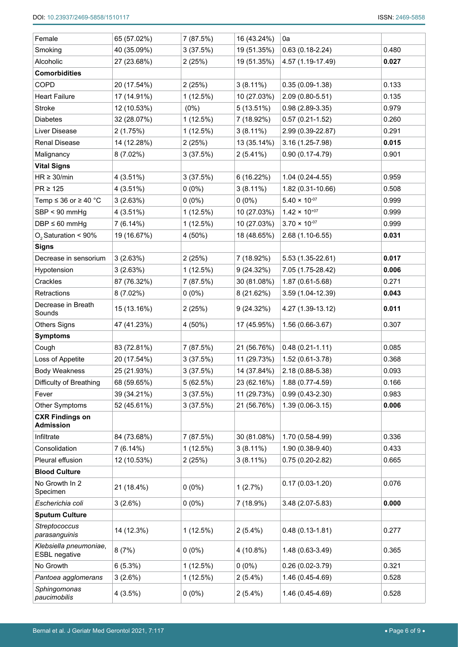| Female                                         | 65 (57.02%) | 7 (87.5%) | 16 (43.24%) | 0a                     |       |
|------------------------------------------------|-------------|-----------|-------------|------------------------|-------|
| Smoking                                        | 40 (35.09%) | 3(37.5%)  | 19 (51.35%) | $0.63(0.18-2.24)$      | 0.480 |
| Alcoholic                                      | 27 (23.68%) | 2(25%)    | 19 (51.35%) | 4.57 (1.19-17.49)      | 0.027 |
| <b>Comorbidities</b>                           |             |           |             |                        |       |
| COPD                                           | 20 (17.54%) | 2(25%)    | $3(8.11\%)$ | $0.35(0.09-1.38)$      | 0.133 |
| <b>Heart Failure</b>                           | 17 (14.91%) | 1(12.5%)  | 10 (27.03%) | $2.09(0.80 - 5.51)$    | 0.135 |
| Stroke                                         | 12 (10.53%) | $(0\%)$   | 5(13.51%)   | $0.98(2.89-3.35)$      | 0.979 |
| <b>Diabetes</b>                                | 32 (28.07%) | 1(12.5%)  | 7 (18.92%)  | $0.57(0.21 - 1.52)$    | 0.260 |
| Liver Disease                                  | 2(1.75%)    | 1(12.5%)  | $3(8.11\%)$ | 2.99 (0.39-22.87)      | 0.291 |
| Renal Disease                                  | 14 (12.28%) | 2(25%)    | 13 (35.14%) | 3.16 (1.25-7.98)       | 0.015 |
| Malignancy                                     | 8 (7.02%)   | 3(37.5%)  | 2(5.41%)    | $0.90(0.17-4.79)$      | 0.901 |
| <b>Vital Signs</b>                             |             |           |             |                        |       |
| $HR \geq 30/min$                               | 4(3.51%)    | 3(37.5%)  | 6 (16.22%)  | $1.04(0.24-4.55)$      | 0.959 |
| $PR \ge 125$                                   | 4(3.51%)    | $0(0\%)$  | $3(8.11\%)$ | 1.82 (0.31-10.66)      | 0.508 |
| Temp $\leq$ 36 or $\geq$ 40 °C                 | 3(2.63%)    | $0(0\%)$  | $0(0\%)$    | $5.40 \times 10^{-07}$ | 0.999 |
| SBP < 90 mmHg                                  | 4(3.51%)    | 1(12.5%)  | 10 (27.03%) | $1.42 \times 10^{+07}$ | 0.999 |
| $DBP \leq 60$ mmHg                             | 7(6.14%)    | 1(12.5%)  | 10 (27.03%) | $3.70 \times 10^{-07}$ | 0.999 |
| O <sub>2</sub> Saturation < 90%                | 19 (16.67%) | 4 (50%)   | 18 (48.65%) | 2.68 (1.10-6.55)       | 0.031 |
| <b>Signs</b>                                   |             |           |             |                        |       |
| Decrease in sensorium                          | 3(2.63%)    | 2(25%)    | 7 (18.92%)  | $5.53(1.35-22.61)$     | 0.017 |
| Hypotension                                    | 3(2.63%)    | 1(12.5%)  | 9(24.32%)   | 7.05 (1.75-28.42)      | 0.006 |
| Crackles                                       | 87 (76.32%) | 7 (87.5%) | 30 (81.08%) | $1.87(0.61 - 5.68)$    | 0.271 |
| Retractions                                    | $8(7.02\%)$ | $0(0\%)$  | 8 (21.62%)  | 3.59 (1.04-12.39)      | 0.043 |
| Decrease in Breath<br>Sounds                   | 15 (13.16%) | 2(25%)    | 9(24.32%)   | 4.27 (1.39-13.12)      | 0.011 |
| <b>Others Signs</b>                            | 47 (41.23%) | 4 (50%)   | 17 (45.95%) | 1.56 (0.66-3.67)       | 0.307 |
| <b>Symptoms</b>                                |             |           |             |                        |       |
| Cough                                          | 83 (72.81%) | 7 (87.5%) | 21 (56.76%) | $0.48(0.21 - 1.11)$    | 0.085 |
| Loss of Appetite                               | 20 (17.54%) | 3(37.5%)  | 11 (29.73%) | 1.52 (0.61-3.78)       | 0.368 |
| <b>Body Weakness</b>                           | 25 (21.93%) | 3(37.5%)  | 14 (37.84%) | 2.18 (0.88-5.38)       | 0.093 |
| Difficulty of Breathing                        | 68 (59.65%) | 5(62.5%)  | 23 (62.16%) | 1.88 (0.77-4.59)       | 0.166 |
| Fever                                          | 39 (34.21%) | 3(37.5%)  | 11 (29.73%) | $0.99(0.43 - 2.30)$    | 0.983 |
| Other Symptoms                                 | 52 (45.61%) | 3(37.5%)  | 21 (56.76%) | 1.39 (0.06-3.15)       | 0.006 |
| <b>CXR Findings on</b><br><b>Admission</b>     |             |           |             |                        |       |
| Infiltrate                                     | 84 (73.68%) | 7 (87.5%) | 30 (81.08%) | 1.70 (0.58-4.99)       | 0.336 |
| Consolidation                                  | 7(6.14%)    | 1(12.5%)  | $3(8.11\%)$ | 1.90 (0.38-9.40)       | 0.433 |
| Pleural effusion                               | 12 (10.53%) | 2(25%)    | $3(8.11\%)$ | $0.75(0.20-2.82)$      | 0.665 |
| <b>Blood Culture</b>                           |             |           |             |                        |       |
| No Growth In 2<br>Specimen                     | 21 (18.4%)  | $0(0\%)$  | 1(2.7%)     | $0.17(0.03-1.20)$      | 0.076 |
| Escherichia coli                               | 3(2.6%)     | $0(0\%)$  | 7 (18.9%)   | 3.48 (2.07-5.83)       | 0.000 |
| <b>Sputum Culture</b>                          |             |           |             |                        |       |
| Streptococcus<br>parasanguinis                 | 14 (12.3%)  | 1(12.5%)  | $2(5.4\%)$  | $0.48(0.13 - 1.81)$    | 0.277 |
| Klebsiella pneumoniae,<br><b>ESBL</b> negative | 8(7%)       | $0(0\%)$  | 4 (10.8%)   | 1.48 (0.63-3.49)       | 0.365 |
| No Growth                                      | 6(5.3%)     | 1(12.5%)  | $0(0\%)$    | $0.26(0.02-3.79)$      | 0.321 |
| Pantoea agglomerans                            | 3(2.6%)     | 1(12.5%)  | $2(5.4\%)$  | 1.46 (0.45-4.69)       | 0.528 |
| Sphingomonas<br>paucimobilis                   | 4(3.5%)     | $0(0\%)$  | $2(5.4\%)$  | 1.46 (0.45-4.69)       | 0.528 |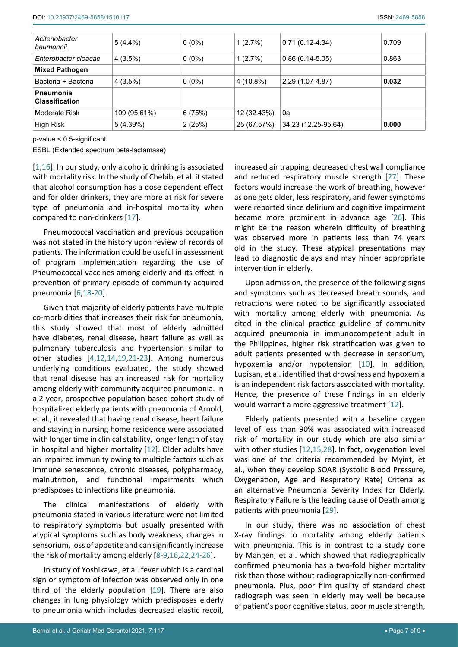| Acitenobacter<br>baumannii                | $5(4.4\%)$   | $0(0\%)$ | 1(2.7%)     | $0.71(0.12-4.34)$   | 0.709 |
|-------------------------------------------|--------------|----------|-------------|---------------------|-------|
| Enterobacter cloacae                      | 4(3.5%)      | $0(0\%)$ | 1(2.7%)     | $0.86(0.14-5.05)$   | 0.863 |
| <b>Mixed Pathogen</b>                     |              |          |             |                     |       |
| Bacteria + Bacteria                       | 4(3.5%)      | $0(0\%)$ | 4 (10.8%)   | 2.29 (1.07-4.87)    | 0.032 |
| <b>Pneumonia</b><br><b>Classification</b> |              |          |             |                     |       |
| Moderate Risk                             | 109 (95.61%) | 6(75%)   | 12 (32.43%) | 0a                  |       |
| High Risk                                 | 5(4.39%)     | 2(25%)   | 25 (67.57%) | 34.23 (12.25-95.64) | 0.000 |

p-value < 0.5-significant

ESBL (Extended spectrum beta-lactamase)

[[1](#page-8-0),[16](#page-8-17)]. In our study, only alcoholic drinking is associated with mortality risk. In the study of Chebib, et al. it stated that alcohol consumption has a dose dependent effect and for older drinkers, they are more at risk for severe type of pneumonia and in-hospital mortality when compared to non-drinkers [\[17\]](#page-8-18).

Pneumococcal vaccination and previous occupation was not stated in the history upon review of records of patients. The information could be useful in assessment of program implementation regarding the use of Pneumococcal vaccines among elderly and its effect in prevention of primary episode of community acquired pneumonia [\[6](#page-8-5),[18](#page-8-19)-[20](#page-8-20)].

Given that majority of elderly patients have multiple co-morbidities that increases their risk for pneumonia, this study showed that most of elderly admitted have diabetes, renal disease, heart failure as well as pulmonary tuberculosis and hypertension similar to other studies [[4](#page-8-3),[12](#page-8-11),[14](#page-8-21),[19](#page-8-22),[21](#page-8-23)-[23](#page-8-24)]. Among numerous underlying conditions evaluated, the study showed that renal disease has an increased risk for mortality among elderly with community acquired pneumonia. In a 2-year, prospective population-based cohort study of hospitalized elderly patients with pneumonia of Arnold, et al., it revealed that having renal disease, heart failure and staying in nursing home residence were associated with longer time in clinical stability, longer length of stay in hospital and higher mortality [[12](#page-8-11)]. Older adults have an impaired immunity owing to multiple factors such as immune senescence, chronic diseases, polypharmacy, malnutrition, and functional impairments which predisposes to infections like pneumonia.

The clinical manifestations of elderly with pneumonia stated in various literature were not limited to respiratory symptoms but usually presented with atypical symptoms such as body weakness, changes in sensorium, loss of appetite and can significantly increase the risk of mortality among elderly [[8-](#page-8-8)[9](#page-8-9),[16](#page-8-17),[22](#page-8-25),[24](#page-8-26)-[26\]](#page-8-14).

In study of Yoshikawa, et al. fever which is a cardinal sign or symptom of infection was observed only in one third of the elderly population [\[19](#page-8-22)]. There are also changes in lung physiology which predisposes elderly to pneumonia which includes decreased elastic recoil,

increased air trapping, decreased chest wall compliance and reduced respiratory muscle strength [\[27](#page-8-13)]. These factors would increase the work of breathing, however as one gets older, less respiratory, and fewer symptoms were reported since delirium and cognitive impairment became more prominent in advance age [[26\]](#page-8-14). This might be the reason wherein difficulty of breathing was observed more in patients less than 74 years old in the study. These atypical presentations may lead to diagnostic delays and may hinder appropriate intervention in elderly.

Upon admission, the presence of the following signs and symptoms such as decreased breath sounds, and retractions were noted to be significantly associated with mortality among elderly with pneumonia. As cited in the clinical practice guideline of community acquired pneumonia in immunocompetent adult in the Philippines, higher risk stratification was given to adult patients presented with decrease in sensorium, hypoxemia and/or hypotension [[10\]](#page-8-7). In addition, Lupisan, et al. identified that drowsiness and hypoxemia is an independent risk factors associated with mortality. Hence, the presence of these findings in an elderly would warrant a more aggressive treatment [[12\]](#page-8-11).

Elderly patients presented with a baseline oxygen level of less than 90% was associated with increased risk of mortality in our study which are also similar with other studies [[12](#page-8-11),[15](#page-8-12),[28\]](#page-8-15). In fact, oxygenation level was one of the criteria recommended by Myint, et al., when they develop SOAR (Systolic Blood Pressure, Oxygenation, Age and Respiratory Rate) Criteria as an alternative Pneumonia Severity Index for Elderly. Respiratory Failure is the leading cause of Death among patients with pneumonia [[29\]](#page-8-16).

In our study, there was no association of chest X-ray findings to mortality among elderly patients with pneumonia. This is in contrast to a study done by Mangen, et al. which showed that radiographically confirmed pneumonia has a two-fold higher mortality risk than those without radiographically non-confirmed pneumonia. Plus, poor film quality of standard chest radiograph was seen in elderly may well be because of patient's poor cognitive status, poor muscle strength,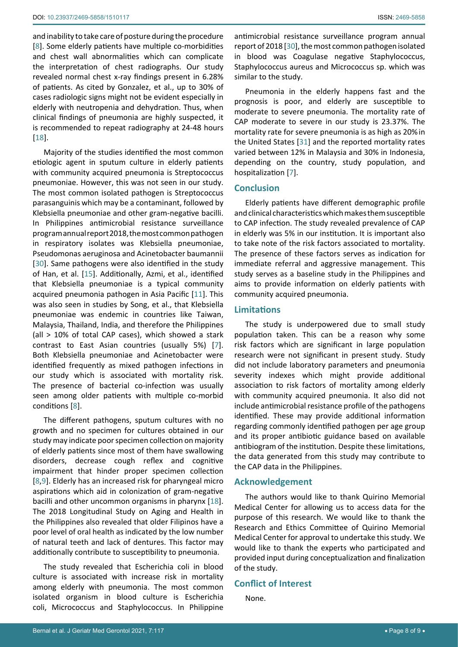and inability to take care of posture during the procedure [[8](#page-8-8)]. Some elderly patients have multiple co-morbidities and chest wall abnormalities which can complicate the interpretation of chest radiographs. Our study revealed normal chest x-ray findings present in 6.28% of patients. As cited by Gonzalez, et al., up to 30% of cases radiologic signs might not be evident especially in elderly with neutropenia and dehydration. Thus, when clinical findings of pneumonia are highly suspected, it is recommended to repeat radiography at 24-48 hours [[18](#page-8-19)].

Majority of the studies identified the most common etiologic agent in sputum culture in elderly patients with community acquired pneumonia is Streptococcus pneumoniae. However, this was not seen in our study. The most common isolated pathogen is Streptococcus parasanguinis which may be a contaminant, followed by Klebsiella pneumoniae and other gram-negative bacilli. In Philippines antimicrobial resistance surveillance program annual report 2018,the most common pathogen in respiratory isolates was Klebsiella pneumoniae, Pseudomonas aeruginosa and Acinetobacter baumannii [[30](#page-8-27)]. Same pathogens were also identified in the study of Han, et al. [\[15\]](#page-8-12). Additionally, Azmi, et al., identified that Klebsiella pneumoniae is a typical community acquired pneumonia pathogen in Asia Pacific [\[11](#page-8-10)]. This was also seen in studies by Song, et al., that Klebsiella pneumoniae was endemic in countries like Taiwan, Malaysia, Thailand, India, and therefore the Philippines (all > 10% of total CAP cases), which showed a stark contrast to East Asian countries (usually 5%) [[7](#page-8-6)]. Both Klebsiella pneumoniae and Acinetobacter were identified frequently as mixed pathogen infections in our study which is associated with mortality risk. The presence of bacterial co-infection was usually seen among older patients with multiple co-morbid conditions [[8](#page-8-8)].

The different pathogens, sputum cultures with no growth and no specimen for cultures obtained in our study may indicate poor specimen collection on majority of elderly patients since most of them have swallowing disorders, decrease cough reflex and cognitive impairment that hinder proper specimen collection [[8](#page-8-8),[9\]](#page-8-9). Elderly has an increased risk for pharyngeal micro aspirations which aid in colonization of gram-negative bacilli and other uncommon organisms in pharynx [\[18](#page-8-19)]. The 2018 Longitudinal Study on Aging and Health in the Philippines also revealed that older Filipinos have a poor level of oral health as indicated by the low number of natural teeth and lack of dentures. This factor may additionally contribute to susceptibility to pneumonia.

The study revealed that Escherichia coli in blood culture is associated with increase risk in mortality among elderly with pneumonia. The most common isolated organism in blood culture is Escherichia coli, Micrococcus and Staphylococcus. In Philippine

antimicrobial resistance surveillance program annual report of 2018 [[30\]](#page-8-27), the most common pathogen isolated in blood was Coagulase negative Staphylococcus, Staphylococcus aureus and Micrococcus sp. which was similar to the study.

Pneumonia in the elderly happens fast and the prognosis is poor, and elderly are susceptible to moderate to severe pneumonia. The mortality rate of CAP moderate to severe in our study is 23.37%. The mortality rate for severe pneumonia is as high as 20%in the United States [\[31](#page-8-28)] and the reported mortality rates varied between 12% in Malaysia and 30% in Indonesia, depending on the country, study population, and hospitalization [\[7\]](#page-8-6).

## **Conclusion**

Elderly patients have different demographic profile and clinical characteristics which makes them susceptible to CAP infection. The study revealed prevalence of CAP in elderly was 5% in our institution. It is important also to take note of the risk factors associated to mortality. The presence of these factors serves as indication for immediate referral and aggressive management. This study serves as a baseline study in the Philippines and aims to provide information on elderly patients with community acquired pneumonia.

#### **Limitations**

The study is underpowered due to small study population taken. This can be a reason why some risk factors which are significant in large population research were not significant in present study. Study did not include laboratory parameters and pneumonia severity indexes which might provide additional association to risk factors of mortality among elderly with community acquired pneumonia. It also did not include antimicrobial resistance profile of the pathogens identified. These may provide additional information regarding commonly identified pathogen per age group and its proper antibiotic guidance based on available antibiogram of the institution. Despite these limitations, the data generated from this study may contribute to the CAP data in the Philippines.

#### **Acknowledgement**

The authors would like to thank Quirino Memorial Medical Center for allowing us to access data for the purpose of this research. We would like to thank the Research and Ethics Committee of Quirino Memorial Medical Center for approval to undertake this study. We would like to thank the experts who participated and provided input during conceptualization and finalization of the study.

#### **Conflict of Interest**

None.